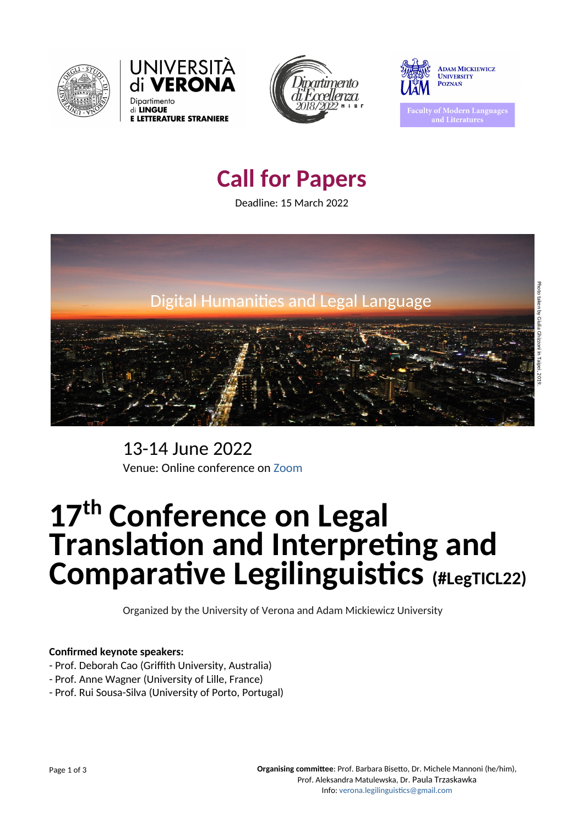







aculty of Modern Languages and Literatures

13-14 June 2022 Venue: Online conference on Zoom

# **17th Conference on Legal Translation and Interpreting and Comparative Legilinguistics (#LegTICL22)**

Organized by the University of Verona and Adam Mickiewicz University

**Organising committee**: Prof. Barbara Bisetto, Dr. Michele Mannoni (he/him), Prof. Aleksandra Matulewska, Dr. Paula Trzaskawka Info: verona.legilinguistics@gmail.com

# **Call for Papers**

Deadline: 15 March 2022

## **Confirmed keynote speakers:**

- Prof. Deborah Cao (Griffith University, Australia)
- Prof. Anne Wagner (University of Lille, France)
- Prof. Rui Sousa-Silva (University of Porto, Portugal)

Page 1 of 3

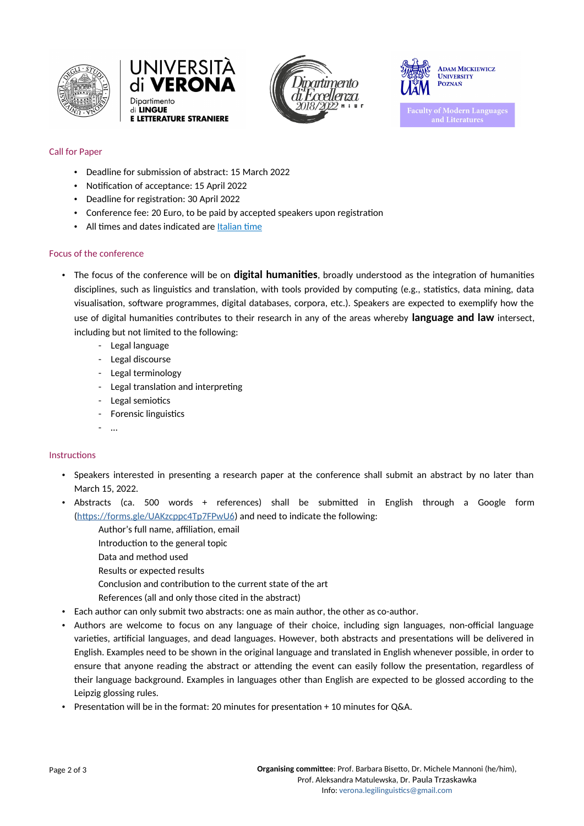





**ADAM MICKIEWICZ UNIVERSITY POZNAŃ** 

**Faculty of Modern Languages** and Literatures

**Organising committee**: Prof. Barbara Bisetto, Dr. Michele Mannoni (he/him), Prof. Aleksandra Matulewska, Dr. Paula Trzaskawka Info: verona.legilinguistics@gmail.com

- Deadline for submission of abstract: 15 March 2022
- Notification of acceptance: 15 April 2022
- Deadline for registration: 30 April 2022
- Conference fee: 20 Euro, to be paid by accepted speakers upon registration
- All times and dates indicated are Italian time

# Call for Paper

#### Focus of the conference

- The focus of the conference will be on **digital humanities**, broadly understood as the integration of humanities disciplines, such as linguistics and translation, with tools provided by computing (e.g., statistics, data mining, data visualisation, software programmes, digital databases, corpora, etc.). Speakers are expected to exemplify how the use of digital humanities contributes to their research in any of the areas whereby **language and law** intersect, including but not limited to the following:
	- Legal language
	- Legal discourse
	- Legal terminology
	- Legal translation and interpreting
	- Legal semiotics
	- Forensic linguistics
	- …

#### **Instructions**

- Speakers interested in presenting a research paper at the conference shall submit an abstract by no later than March 15, 2022.
- Abstracts (ca. 500 words + references) shall be submitted in English through a Google form (https://forms.gle/UAKzcppc4Tp7FPwU6) and need to indicate the following:
	- Author's full name, affiliation, email
	- Introduction to the general topic
	- Data and method used
	- Results or expected results
	- Conclusion and contribution to the current state of the art
	- References (all and only those cited in the abstract)
- Each author can only submit two abstracts: one as main author, the other as co-author.
- Authors are welcome to focus on any language of their choice, including sign languages, non-official language varieties, artificial languages, and dead languages. However, both abstracts and presentations will be delivered in English. Examples need to be shown in the original language and translated in English whenever possible, in order to ensure that anyone reading the abstract or attending the event can easily follow the presentation, regardless of their language background. Examples in languages other than English are expected to be glossed according to the Leipzig glossing rules.
- Presentation will be in the format: 20 minutes for presentation + 10 minutes for Q&A.

Page 2 of 3